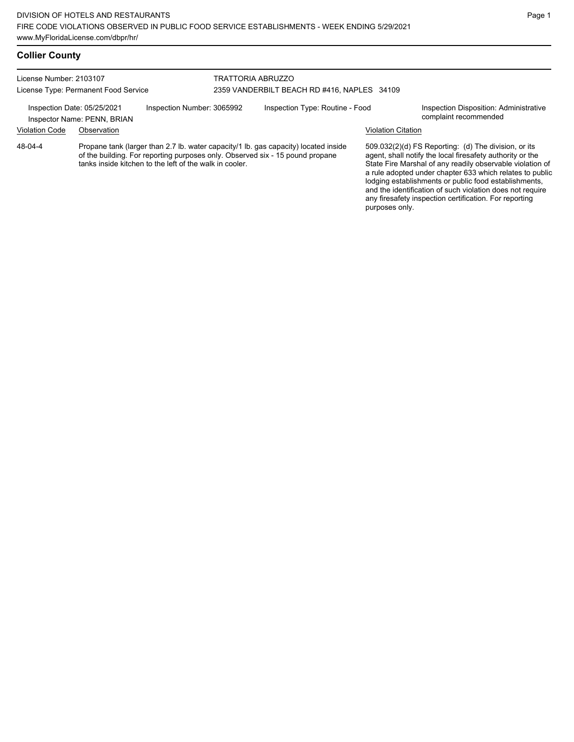## **Collier County**

License Number: 2103107 License Type: Permanent Food Service

#### TRATTORIA ABRUZZO 2359 VANDERBILT BEACH RD #416, NAPLES 34109

Inspection Date: 05/25/2021 Inspection Number: 3065992 Inspection Type: Routine - Food Inspection Disposition: Administrative<br>Inspector Name: PENN BRIAN

Inspector Name: PENN, BRIAN

Violation Code Observation Violation Citation

Propane tank (larger than 2.7 lb. water capacity/1 lb. gas capacity) located inside of the building. For reporting purposes only. Observed six - 15 pound propane tanks inside kitchen to the left of the walk in cooler. 48-04-4

509.032(2)(d) FS Reporting: (d) The division, or its agent, shall notify the local firesafety authority or the State Fire Marshal of any readily observable violation of a rule adopted under chapter 633 which relates to public lodging establishments or public food establishments, and the identification of such violation does not require any firesafety inspection certification. For reporting purposes only.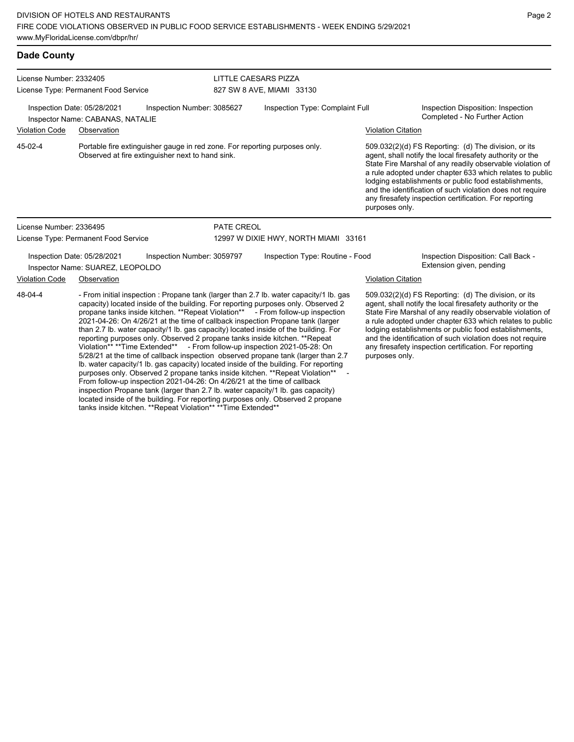| <b>Dade County</b>                                                                                                                                                                                                                                                                                                                                                                                                                                                                                                                                                                                                                                                                                                                                                                                                                                                                                                                                                                                                 |                                                                 |                            |                                                                                                                                                                          |                                      |  |                                                                                                                                                                                                                                                                                                                                                                                                                                              |                                                                                                                                                                                                                                                                                                                                                                                                                            |  |
|--------------------------------------------------------------------------------------------------------------------------------------------------------------------------------------------------------------------------------------------------------------------------------------------------------------------------------------------------------------------------------------------------------------------------------------------------------------------------------------------------------------------------------------------------------------------------------------------------------------------------------------------------------------------------------------------------------------------------------------------------------------------------------------------------------------------------------------------------------------------------------------------------------------------------------------------------------------------------------------------------------------------|-----------------------------------------------------------------|----------------------------|--------------------------------------------------------------------------------------------------------------------------------------------------------------------------|--------------------------------------|--|----------------------------------------------------------------------------------------------------------------------------------------------------------------------------------------------------------------------------------------------------------------------------------------------------------------------------------------------------------------------------------------------------------------------------------------------|----------------------------------------------------------------------------------------------------------------------------------------------------------------------------------------------------------------------------------------------------------------------------------------------------------------------------------------------------------------------------------------------------------------------------|--|
| License Number: 2332405                                                                                                                                                                                                                                                                                                                                                                                                                                                                                                                                                                                                                                                                                                                                                                                                                                                                                                                                                                                            |                                                                 |                            | LITTLE CAESARS PIZZA                                                                                                                                                     |                                      |  |                                                                                                                                                                                                                                                                                                                                                                                                                                              |                                                                                                                                                                                                                                                                                                                                                                                                                            |  |
|                                                                                                                                                                                                                                                                                                                                                                                                                                                                                                                                                                                                                                                                                                                                                                                                                                                                                                                                                                                                                    | License Type: Permanent Food Service                            |                            |                                                                                                                                                                          | 827 SW 8 AVE, MIAMI 33130            |  |                                                                                                                                                                                                                                                                                                                                                                                                                                              |                                                                                                                                                                                                                                                                                                                                                                                                                            |  |
| Inspection Date: 05/28/2021<br>Inspector Name: CABANAS, NATALIE                                                                                                                                                                                                                                                                                                                                                                                                                                                                                                                                                                                                                                                                                                                                                                                                                                                                                                                                                    |                                                                 | Inspection Number: 3085627 | Inspection Type: Complaint Full                                                                                                                                          |                                      |  | Inspection Disposition: Inspection<br>Completed - No Further Action                                                                                                                                                                                                                                                                                                                                                                          |                                                                                                                                                                                                                                                                                                                                                                                                                            |  |
| Violation Code                                                                                                                                                                                                                                                                                                                                                                                                                                                                                                                                                                                                                                                                                                                                                                                                                                                                                                                                                                                                     | Observation                                                     |                            |                                                                                                                                                                          |                                      |  | <b>Violation Citation</b>                                                                                                                                                                                                                                                                                                                                                                                                                    |                                                                                                                                                                                                                                                                                                                                                                                                                            |  |
| 45-02-4                                                                                                                                                                                                                                                                                                                                                                                                                                                                                                                                                                                                                                                                                                                                                                                                                                                                                                                                                                                                            | Observed at fire extinguisher next to hand sink.                |                            | Portable fire extinguisher gauge in red zone. For reporting purposes only.                                                                                               |                                      |  | 509.032(2)(d) FS Reporting: (d) The division, or its<br>agent, shall notify the local firesafety authority or the<br>State Fire Marshal of any readily observable violation of<br>a rule adopted under chapter 633 which relates to public<br>lodging establishments or public food establishments,<br>and the identification of such violation does not require<br>any firesafety inspection certification. For reporting<br>purposes only. |                                                                                                                                                                                                                                                                                                                                                                                                                            |  |
| License Number: 2336495                                                                                                                                                                                                                                                                                                                                                                                                                                                                                                                                                                                                                                                                                                                                                                                                                                                                                                                                                                                            |                                                                 |                            | PATE CREOL                                                                                                                                                               |                                      |  |                                                                                                                                                                                                                                                                                                                                                                                                                                              |                                                                                                                                                                                                                                                                                                                                                                                                                            |  |
|                                                                                                                                                                                                                                                                                                                                                                                                                                                                                                                                                                                                                                                                                                                                                                                                                                                                                                                                                                                                                    | License Type: Permanent Food Service                            |                            |                                                                                                                                                                          | 12997 W DIXIE HWY, NORTH MIAMI 33161 |  |                                                                                                                                                                                                                                                                                                                                                                                                                                              |                                                                                                                                                                                                                                                                                                                                                                                                                            |  |
|                                                                                                                                                                                                                                                                                                                                                                                                                                                                                                                                                                                                                                                                                                                                                                                                                                                                                                                                                                                                                    | Inspection Date: 05/28/2021<br>Inspector Name: SUAREZ, LEOPOLDO | Inspection Number: 3059797 |                                                                                                                                                                          | Inspection Type: Routine - Food      |  |                                                                                                                                                                                                                                                                                                                                                                                                                                              | Inspection Disposition: Call Back -<br>Extension given, pending                                                                                                                                                                                                                                                                                                                                                            |  |
| <b>Violation Code</b>                                                                                                                                                                                                                                                                                                                                                                                                                                                                                                                                                                                                                                                                                                                                                                                                                                                                                                                                                                                              | Observation                                                     |                            |                                                                                                                                                                          |                                      |  | <b>Violation Citation</b>                                                                                                                                                                                                                                                                                                                                                                                                                    |                                                                                                                                                                                                                                                                                                                                                                                                                            |  |
| 48-04-4<br>capacity) located inside of the building. For reporting purposes only. Observed 2<br>propane tanks inside kitchen. **Repeat Violation** - From follow-up inspection<br>2021-04-26: On 4/26/21 at the time of callback inspection Propane tank (larger<br>than 2.7 lb. water capacity/1 lb. gas capacity) located inside of the building. For<br>reporting purposes only. Observed 2 propane tanks inside kitchen. ** Repeat<br>Violation** **Time Extended** - From follow-up inspection 2021-05-28: On<br>5/28/21 at the time of callback inspection observed propane tank (larger than 2.7)<br>Ib. water capacity/1 lb. gas capacity) located inside of the building. For reporting<br>From follow-up inspection 2021-04-26: On 4/26/21 at the time of callback<br>inspection Propane tank (larger than 2.7 lb. water capacity/1 lb. gas capacity)<br>located inside of the building. For reporting purposes only. Observed 2 propane<br>tanks inside kitchen. **Repeat Violation** **Time Extended** |                                                                 |                            | - From initial inspection : Propane tank (larger than 2.7 lb. water capacity/1 lb. gas<br>purposes only. Observed 2 propane tanks inside kitchen. **Repeat Violation** - |                                      |  | purposes only.                                                                                                                                                                                                                                                                                                                                                                                                                               | 509.032(2)(d) FS Reporting: (d) The division, or its<br>agent, shall notify the local firesafety authority or the<br>State Fire Marshal of any readily observable violation of<br>a rule adopted under chapter 633 which relates to public<br>lodging establishments or public food establishments,<br>and the identification of such violation does not require<br>any firesafety inspection certification. For reporting |  |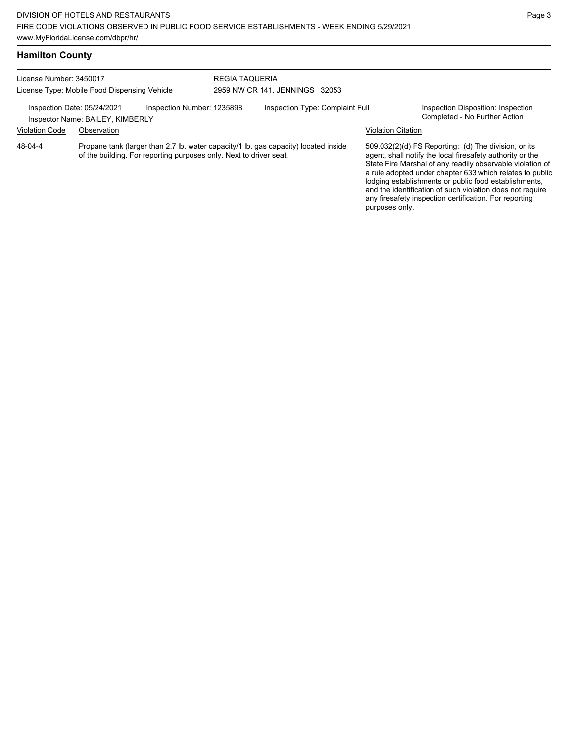| License Number: 3450017<br>License Type: Mobile Food Dispensing Vehicle                       |             |                                                                    | <b>REGIA TAQUERIA</b><br>2959 NW CR 141, JENNINGS 32053 |                                                                                     |                                                                     |                                                                                                                                                                                                                                                                                                                                                                                                                            |  |
|-----------------------------------------------------------------------------------------------|-------------|--------------------------------------------------------------------|---------------------------------------------------------|-------------------------------------------------------------------------------------|---------------------------------------------------------------------|----------------------------------------------------------------------------------------------------------------------------------------------------------------------------------------------------------------------------------------------------------------------------------------------------------------------------------------------------------------------------------------------------------------------------|--|
| Inspection Number: 1235898<br>Inspection Date: 05/24/2021<br>Inspector Name: BAILEY, KIMBERLY |             | Inspection Type: Complaint Full                                    |                                                         |                                                                                     | Inspection Disposition: Inspection<br>Completed - No Further Action |                                                                                                                                                                                                                                                                                                                                                                                                                            |  |
| <b>Violation Code</b>                                                                         | Observation |                                                                    |                                                         |                                                                                     | <b>Violation Citation</b>                                           |                                                                                                                                                                                                                                                                                                                                                                                                                            |  |
| 48-04-4                                                                                       |             | of the building. For reporting purposes only. Next to driver seat. |                                                         | Propane tank (larger than 2.7 lb. water capacity/1 lb. gas capacity) located inside |                                                                     | 509.032(2)(d) FS Reporting: (d) The division, or its<br>agent, shall notify the local firesafety authority or the<br>State Fire Marshal of any readily observable violation of<br>a rule adopted under chapter 633 which relates to public<br>lodging establishments or public food establishments,<br>and the identification of such violation does not require<br>any firesafety inspection certification. For reporting |  |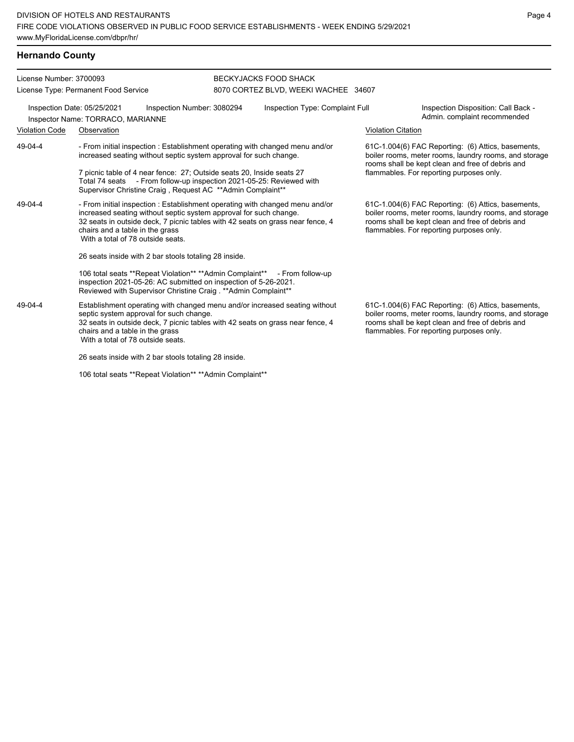## **Hernando County**

| License Number: 3700093<br>License Type: Permanent Food Service                                |                                                                                                                                                                                                                                                                                                             |                                                                                                                                                                                                                 | <b>BECKYJACKS FOOD SHACK</b><br>8070 CORTEZ BLVD, WEEKI WACHEE 34607 |                                                                              |                           |                                                                                                                                                                                                             |  |  |
|------------------------------------------------------------------------------------------------|-------------------------------------------------------------------------------------------------------------------------------------------------------------------------------------------------------------------------------------------------------------------------------------------------------------|-----------------------------------------------------------------------------------------------------------------------------------------------------------------------------------------------------------------|----------------------------------------------------------------------|------------------------------------------------------------------------------|---------------------------|-------------------------------------------------------------------------------------------------------------------------------------------------------------------------------------------------------------|--|--|
| Inspection Date: 05/25/2021<br>Inspection Number: 3080294<br>Inspector Name: TORRACO, MARIANNE |                                                                                                                                                                                                                                                                                                             |                                                                                                                                                                                                                 |                                                                      | Inspection Type: Complaint Full                                              |                           | Inspection Disposition: Call Back -<br>Admin. complaint recommended                                                                                                                                         |  |  |
| <b>Violation Code</b>                                                                          | Observation                                                                                                                                                                                                                                                                                                 |                                                                                                                                                                                                                 |                                                                      |                                                                              | <b>Violation Citation</b> |                                                                                                                                                                                                             |  |  |
| 49-04-4                                                                                        |                                                                                                                                                                                                                                                                                                             | increased seating without septic system approval for such change.                                                                                                                                               |                                                                      | - From initial inspection : Establishment operating with changed menu and/or |                           | 61C-1.004(6) FAC Reporting: (6) Attics, basements,<br>boiler rooms, meter rooms, laundry rooms, and storage<br>rooms shall be kept clean and free of debris and                                             |  |  |
|                                                                                                |                                                                                                                                                                                                                                                                                                             | 7 picnic table of 4 near fence: 27; Outside seats 20, Inside seats 27<br>Total 74 seats - From follow-up inspection 2021-05-25: Reviewed with<br>Supervisor Christine Craig, Request AC **Admin Complaint**     |                                                                      | flammables. For reporting purposes only.                                     |                           |                                                                                                                                                                                                             |  |  |
| 49-04-4                                                                                        | - From initial inspection : Establishment operating with changed menu and/or<br>increased seating without septic system approval for such change.<br>32 seats in outside deck, 7 picnic tables with 42 seats on grass near fence, 4<br>chairs and a table in the grass<br>With a total of 78 outside seats. |                                                                                                                                                                                                                 |                                                                      |                                                                              |                           | 61C-1.004(6) FAC Reporting: (6) Attics, basements,<br>boiler rooms, meter rooms, laundry rooms, and storage<br>rooms shall be kept clean and free of debris and<br>flammables. For reporting purposes only. |  |  |
|                                                                                                | 26 seats inside with 2 bar stools totaling 28 inside.                                                                                                                                                                                                                                                       |                                                                                                                                                                                                                 |                                                                      |                                                                              |                           |                                                                                                                                                                                                             |  |  |
|                                                                                                |                                                                                                                                                                                                                                                                                                             | 106 total seats **Repeat Violation** **Admin Complaint** - From follow-up<br>inspection 2021-05-26: AC submitted on inspection of 5-26-2021.<br>Reviewed with Supervisor Christine Craig . ** Admin Complaint** |                                                                      |                                                                              |                           |                                                                                                                                                                                                             |  |  |
| 49-04-4                                                                                        | Establishment operating with changed menu and/or increased seating without<br>septic system approval for such change.<br>32 seats in outside deck, 7 picnic tables with 42 seats on grass near fence, 4<br>chairs and a table in the grass<br>With a total of 78 outside seats.                             |                                                                                                                                                                                                                 |                                                                      |                                                                              |                           | 61C-1.004(6) FAC Reporting: (6) Attics, basements,<br>boiler rooms, meter rooms, laundry rooms, and storage<br>rooms shall be kept clean and free of debris and<br>flammables. For reporting purposes only. |  |  |
|                                                                                                |                                                                                                                                                                                                                                                                                                             | 26 seats inside with 2 bar stools totaling 28 inside.                                                                                                                                                           |                                                                      |                                                                              |                           |                                                                                                                                                                                                             |  |  |

106 total seats \*\*Repeat Violation\*\* \*\*Admin Complaint\*\*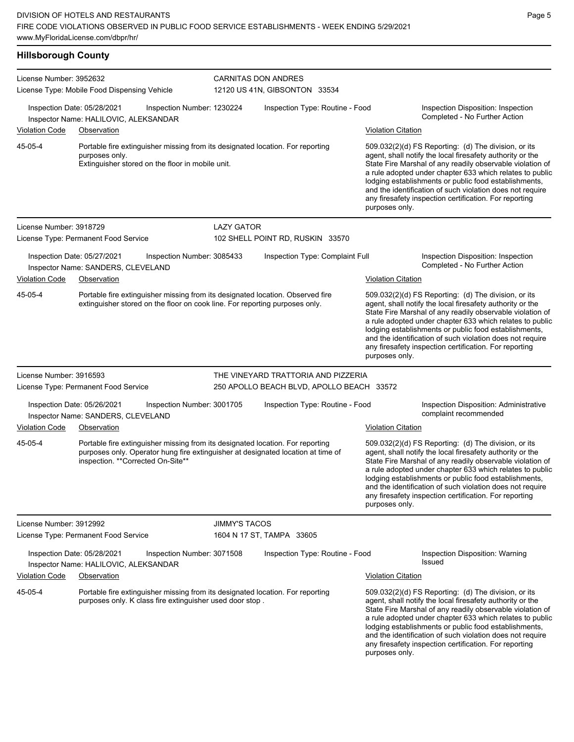| <b>Hillsborough County</b> |                                                                                                                                                                                                          |               |                                           |                           |                                                                                                                                                                                                                                                                                                                                                                                                                            |  |  |  |  |
|----------------------------|----------------------------------------------------------------------------------------------------------------------------------------------------------------------------------------------------------|---------------|-------------------------------------------|---------------------------|----------------------------------------------------------------------------------------------------------------------------------------------------------------------------------------------------------------------------------------------------------------------------------------------------------------------------------------------------------------------------------------------------------------------------|--|--|--|--|
| License Number: 3952632    |                                                                                                                                                                                                          |               | <b>CARNITAS DON ANDRES</b>                |                           |                                                                                                                                                                                                                                                                                                                                                                                                                            |  |  |  |  |
|                            | License Type: Mobile Food Dispensing Vehicle                                                                                                                                                             |               | 12120 US 41N, GIBSONTON 33534             |                           |                                                                                                                                                                                                                                                                                                                                                                                                                            |  |  |  |  |
|                            | Inspection Date: 05/28/2021<br>Inspection Number: 1230224<br>Inspector Name: HALILOVIC, ALEKSANDAR                                                                                                       |               | Inspection Type: Routine - Food           |                           | Inspection Disposition: Inspection<br>Completed - No Further Action                                                                                                                                                                                                                                                                                                                                                        |  |  |  |  |
| Violation Code             | Observation                                                                                                                                                                                              |               |                                           | <b>Violation Citation</b> |                                                                                                                                                                                                                                                                                                                                                                                                                            |  |  |  |  |
| 45-05-4                    | Portable fire extinguisher missing from its designated location. For reporting<br>purposes only.<br>Extinguisher stored on the floor in mobile unit.                                                     |               |                                           | purposes only.            | 509.032(2)(d) FS Reporting: (d) The division, or its<br>agent, shall notify the local firesafety authority or the<br>State Fire Marshal of any readily observable violation of<br>a rule adopted under chapter 633 which relates to public<br>lodging establishments or public food establishments,<br>and the identification of such violation does not require<br>any firesafety inspection certification. For reporting |  |  |  |  |
| License Number: 3918729    |                                                                                                                                                                                                          | LAZY GATOR    |                                           |                           |                                                                                                                                                                                                                                                                                                                                                                                                                            |  |  |  |  |
|                            | License Type: Permanent Food Service                                                                                                                                                                     |               | 102 SHELL POINT RD, RUSKIN 33570          |                           |                                                                                                                                                                                                                                                                                                                                                                                                                            |  |  |  |  |
|                            | Inspection Date: 05/27/2021<br>Inspection Number: 3085433<br>Inspector Name: SANDERS, CLEVELAND                                                                                                          |               | Inspection Type: Complaint Full           |                           | Inspection Disposition: Inspection<br>Completed - No Further Action                                                                                                                                                                                                                                                                                                                                                        |  |  |  |  |
| <b>Violation Code</b>      | Observation                                                                                                                                                                                              |               |                                           | <b>Violation Citation</b> |                                                                                                                                                                                                                                                                                                                                                                                                                            |  |  |  |  |
| 45-05-4                    | Portable fire extinguisher missing from its designated location. Observed fire<br>extinguisher stored on the floor on cook line. For reporting purposes only.                                            |               |                                           | purposes only.            | 509.032(2)(d) FS Reporting: (d) The division, or its<br>agent, shall notify the local firesafety authority or the<br>State Fire Marshal of any readily observable violation of<br>a rule adopted under chapter 633 which relates to public<br>lodging establishments or public food establishments,<br>and the identification of such violation does not require<br>any firesafety inspection certification. For reporting |  |  |  |  |
| License Number: 3916593    |                                                                                                                                                                                                          |               | THE VINEYARD TRATTORIA AND PIZZERIA       |                           |                                                                                                                                                                                                                                                                                                                                                                                                                            |  |  |  |  |
|                            | License Type: Permanent Food Service                                                                                                                                                                     |               | 250 APOLLO BEACH BLVD, APOLLO BEACH 33572 |                           |                                                                                                                                                                                                                                                                                                                                                                                                                            |  |  |  |  |
| <b>Violation Code</b>      | Inspection Date: 05/26/2021<br>Inspection Number: 3001705<br>Inspector Name: SANDERS, CLEVELAND<br>Observation                                                                                           |               | Inspection Type: Routine - Food           | <b>Violation Citation</b> | Inspection Disposition: Administrative<br>complaint recommended                                                                                                                                                                                                                                                                                                                                                            |  |  |  |  |
| 45-05-4                    | Portable fire extinguisher missing from its designated location. For reporting<br>purposes only. Operator hung fire extinguisher at designated location at time of<br>inspection. ** Corrected On-Site** |               |                                           | purposes only.            | 509.032(2)(d) FS Reporting: (d) The division, or its<br>agent, shall notify the local firesafety authority or the<br>State Fire Marshal of any readily observable violation of<br>a rule adopted under chapter 633 which relates to public<br>lodging establishments or public food establishments,<br>and the identification of such violation does not require<br>any firesafety inspection certification. For reporting |  |  |  |  |
| License Number: 3912992    |                                                                                                                                                                                                          | JIMMY'S TACOS |                                           |                           |                                                                                                                                                                                                                                                                                                                                                                                                                            |  |  |  |  |
|                            | License Type: Permanent Food Service                                                                                                                                                                     |               | 1604 N 17 ST, TAMPA 33605                 |                           |                                                                                                                                                                                                                                                                                                                                                                                                                            |  |  |  |  |
|                            | Inspection Date: 05/28/2021<br>Inspection Number: 3071508<br>Inspector Name: HALILOVIC, ALEKSANDAR                                                                                                       |               | Inspection Type: Routine - Food           |                           | Inspection Disposition: Warning<br>Issued                                                                                                                                                                                                                                                                                                                                                                                  |  |  |  |  |
| <b>Violation Code</b>      | Observation                                                                                                                                                                                              |               |                                           | <b>Violation Citation</b> |                                                                                                                                                                                                                                                                                                                                                                                                                            |  |  |  |  |
| 45-05-4                    | Portable fire extinguisher missing from its designated location. For reporting<br>purposes only. K class fire extinguisher used door stop.                                                               |               |                                           |                           | 509.032(2)(d) FS Reporting: (d) The division, or its<br>agent, shall notify the local firesafety authority or the                                                                                                                                                                                                                                                                                                          |  |  |  |  |

agent, shall notify the local firesafety authority or the State Fire Marshal of any readily observable violation of a rule adopted under chapter 633 which relates to public lodging establishments or public food establishments, and the identification of such violation does not require any firesafety inspection certification. For reporting purposes only.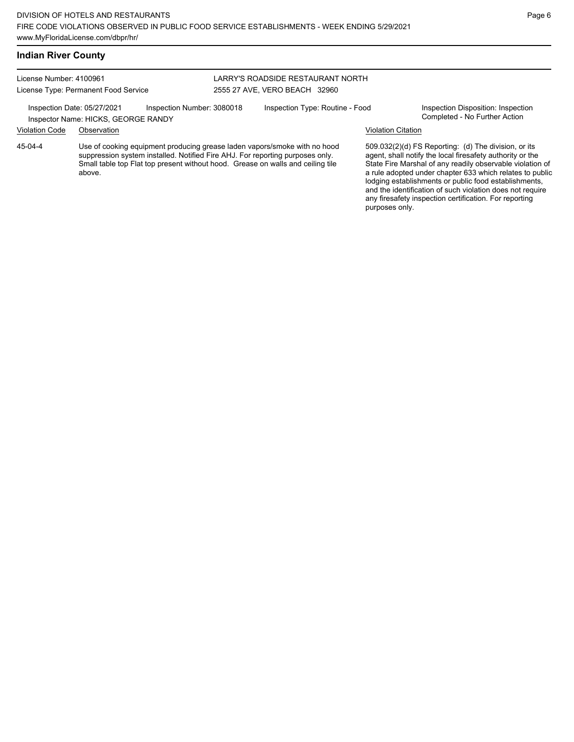### **Indian River County**

License Number: 4100961 License Type: Permanent Food Service

Inspector Name: HICKS, GEORGE RANDY

### LARRY'S ROADSIDE RESTAURANT NORTH 2555 27 AVE, VERO BEACH 32960

Inspection Date: 05/27/2021 Inspection Number: 3080018 Inspection Type: Routine - Food Inspection Disposition: Inspection<br>Inspector Name: HICKS GEORGE RANDY

### Violation Code Observation Violation Citation

Use of cooking equipment producing grease laden vapors/smoke with no hood suppression system installed. Notified Fire AHJ. For reporting purposes only. Small table top Flat top present without hood. Grease on walls and ceiling tile above. 45-04-4

509.032(2)(d) FS Reporting: (d) The division, or its agent, shall notify the local firesafety authority or the State Fire Marshal of any readily observable violation of a rule adopted under chapter 633 which relates to public lodging establishments or public food establishments, and the identification of such violation does not require any firesafety inspection certification. For reporting purposes only.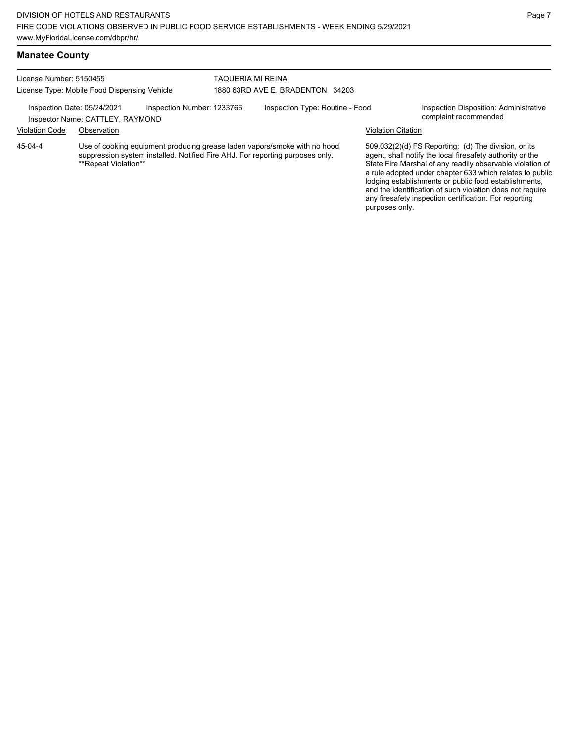## **Manatee County**

| License Number: 5150455<br>License Type: Mobile Food Dispensing Vehicle |                                                                 |                            |  | TAQUERIA MI REINA<br>1880 63RD AVE E, BRADENTON 34203                                                                                                      |                           |                                                                                                                                                                                                                                                                                                                                                                                                                            |  |  |
|-------------------------------------------------------------------------|-----------------------------------------------------------------|----------------------------|--|------------------------------------------------------------------------------------------------------------------------------------------------------------|---------------------------|----------------------------------------------------------------------------------------------------------------------------------------------------------------------------------------------------------------------------------------------------------------------------------------------------------------------------------------------------------------------------------------------------------------------------|--|--|
|                                                                         |                                                                 |                            |  |                                                                                                                                                            |                           |                                                                                                                                                                                                                                                                                                                                                                                                                            |  |  |
|                                                                         | Inspection Date: 05/24/2021<br>Inspector Name: CATTLEY, RAYMOND | Inspection Number: 1233766 |  | Inspection Type: Routine - Food                                                                                                                            |                           | Inspection Disposition: Administrative<br>complaint recommended                                                                                                                                                                                                                                                                                                                                                            |  |  |
| <b>Violation Code</b>                                                   | Observation                                                     |                            |  |                                                                                                                                                            | <b>Violation Citation</b> |                                                                                                                                                                                                                                                                                                                                                                                                                            |  |  |
| 45-04-4                                                                 | **Repeat Violation**                                            |                            |  | Use of cooking equipment producing grease laden vapors/smoke with no hood<br>suppression system installed. Notified Fire AHJ. For reporting purposes only. |                           | 509.032(2)(d) FS Reporting: (d) The division, or its<br>agent, shall notify the local firesafety authority or the<br>State Fire Marshal of any readily observable violation of<br>a rule adopted under chapter 633 which relates to public<br>lodging establishments or public food establishments,<br>and the identification of such violation does not require<br>any firesafety inspection certification. For reporting |  |  |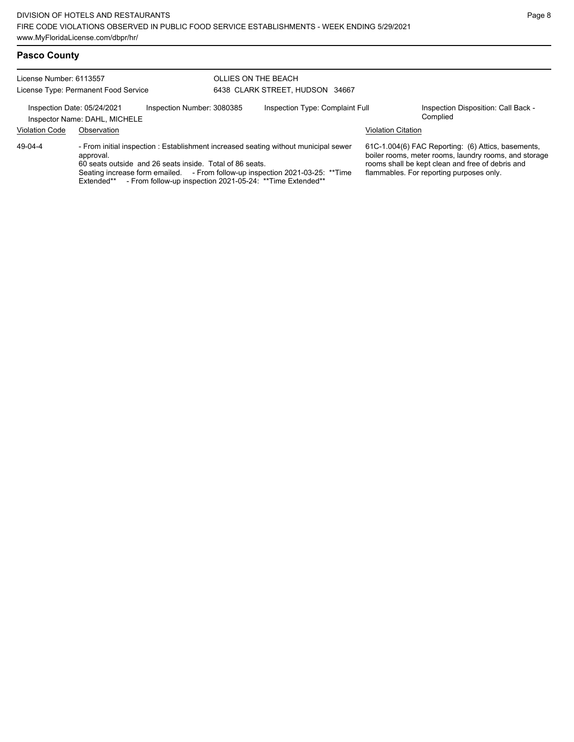License Number: 6113557 License Type: Permanent Food Service OLLIES ON THE BEACH 6438 CLARK STREET, HUDSON 34667 Inspection Date: 05/24/2021 Inspection Number: 3080385 Inspection Type: Complaint Full Inspection Disposition: Call Back -<br>Inspector Name: DAHL MICHELE Inspector Name: DAHL, MICHELE Violation Code Observation Violation Citation - From initial inspection : Establishment increased seating without municipal sewer approval. 60 seats outside and 26 seats inside. Total of 86 seats. Seating increase form emailed. - From follow-up inspection 2021-03-25: \*\*Time Extended\*\* - From follow-up inspection 2021-05-24: \*\* Time Extended\*\* 61C-1.004(6) FAC Reporting: (6) Attics, basements, boiler rooms, meter rooms, laundry rooms, and storage rooms shall be kept clean and free of debris and flammables. For reporting purposes only. 49-04-4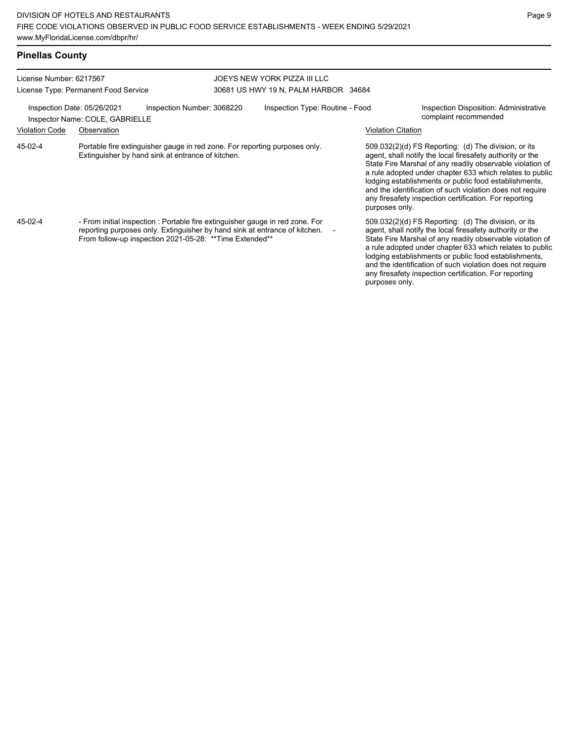a rule adopted under chapter 633 which relates to public lodging establishments or public food establishments, and the identification of such violation does not require any firesafety inspection certification. For reporting

purposes only.

| License Number: 6217567<br>License Type: Permanent Food Service                              |                                                                                                                                                                                                                        |  | JOEYS NEW YORK PIZZA III LLC<br>30681 US HWY 19 N, PALM HARBOR 34684 |                          |                                                                 |                                                                                                                                                                                                                                                                                                                                                                                                                            |  |  |
|----------------------------------------------------------------------------------------------|------------------------------------------------------------------------------------------------------------------------------------------------------------------------------------------------------------------------|--|----------------------------------------------------------------------|--------------------------|-----------------------------------------------------------------|----------------------------------------------------------------------------------------------------------------------------------------------------------------------------------------------------------------------------------------------------------------------------------------------------------------------------------------------------------------------------------------------------------------------------|--|--|
| Inspection Date: 05/26/2021<br>Inspection Number: 3068220<br>Inspector Name: COLE, GABRIELLE |                                                                                                                                                                                                                        |  | Inspection Type: Routine - Food                                      |                          | Inspection Disposition: Administrative<br>complaint recommended |                                                                                                                                                                                                                                                                                                                                                                                                                            |  |  |
| <b>Violation Code</b>                                                                        | Observation                                                                                                                                                                                                            |  |                                                                      |                          |                                                                 | Violation Citation                                                                                                                                                                                                                                                                                                                                                                                                         |  |  |
| 45-02-4                                                                                      | Portable fire extinguisher gauge in red zone. For reporting purposes only.<br>Extinguisher by hand sink at entrance of kitchen.                                                                                        |  |                                                                      |                          | purposes only.                                                  | 509.032(2)(d) FS Reporting: (d) The division, or its<br>agent, shall notify the local firesafety authority or the<br>State Fire Marshal of any readily observable violation of<br>a rule adopted under chapter 633 which relates to public<br>lodging establishments or public food establishments,<br>and the identification of such violation does not require<br>any firesafety inspection certification. For reporting |  |  |
| 45-02-4                                                                                      | - From initial inspection : Portable fire extinguisher gauge in red zone. For<br>reporting purposes only. Extinguisher by hand sink at entrance of kitchen.<br>From follow-up inspection 2021-05-28: **Time Extended** |  |                                                                      | $\overline{\phantom{a}}$ |                                                                 | 509.032(2)(d) FS Reporting: (d) The division, or its<br>agent, shall notify the local firesafety authority or the<br>State Fire Marshal of any readily observable violation of                                                                                                                                                                                                                                             |  |  |

# **Pinellas County**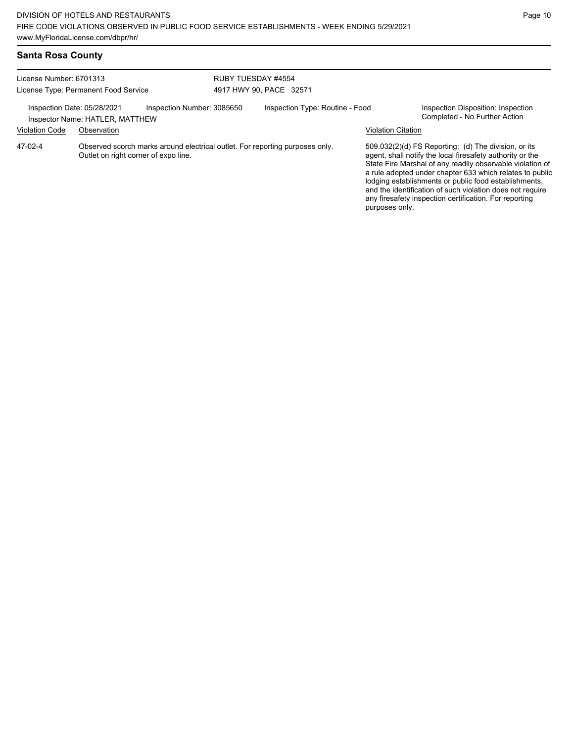|  |  | Santa Rosa County |
|--|--|-------------------|
|--|--|-------------------|

| License Number: 6701313<br>License Type: Permanent Food Service                              |                                                                                                                      |  | RUBY TUESDAY #4554<br>4917 HWY 90, PACE 32571 |  |                           |                                                                                                                                                                                                                                                                                                                                                                                                                            |  |
|----------------------------------------------------------------------------------------------|----------------------------------------------------------------------------------------------------------------------|--|-----------------------------------------------|--|---------------------------|----------------------------------------------------------------------------------------------------------------------------------------------------------------------------------------------------------------------------------------------------------------------------------------------------------------------------------------------------------------------------------------------------------------------------|--|
| Inspection Date: 05/28/2021<br>Inspection Number: 3085650<br>Inspector Name: HATLER, MATTHEW |                                                                                                                      |  | Inspection Type: Routine - Food               |  |                           | Inspection Disposition: Inspection<br>Completed - No Further Action                                                                                                                                                                                                                                                                                                                                                        |  |
| <b>Violation Code</b>                                                                        | Observation                                                                                                          |  |                                               |  | <b>Violation Citation</b> |                                                                                                                                                                                                                                                                                                                                                                                                                            |  |
| 47-02-4                                                                                      | Observed scorch marks around electrical outlet. For reporting purposes only.<br>Outlet on right corner of expo line. |  |                                               |  | purposes only.            | 509.032(2)(d) FS Reporting: (d) The division, or its<br>agent, shall notify the local firesafety authority or the<br>State Fire Marshal of any readily observable violation of<br>a rule adopted under chapter 633 which relates to public<br>lodging establishments or public food establishments,<br>and the identification of such violation does not require<br>any firesafety inspection certification. For reporting |  |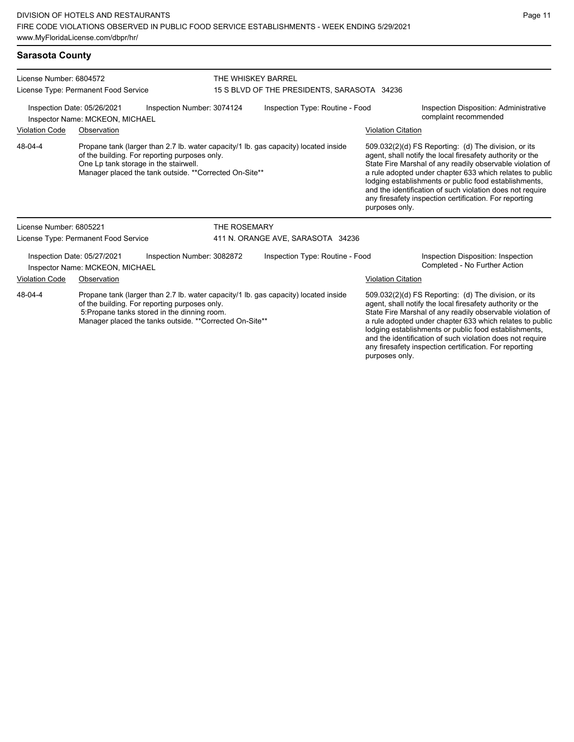## **Sarasota County**

| License Number: 6804572                                                                                                                                              |                                                                |                                                                                                                                                   | THE WHISKEY BARREL                          |                                                                                                                                                                                                                                                                                                                                                                  |                                                                                                                                                                                                                                                                                                                                                                                                                                              |                                                                     |  |  |
|----------------------------------------------------------------------------------------------------------------------------------------------------------------------|----------------------------------------------------------------|---------------------------------------------------------------------------------------------------------------------------------------------------|---------------------------------------------|------------------------------------------------------------------------------------------------------------------------------------------------------------------------------------------------------------------------------------------------------------------------------------------------------------------------------------------------------------------|----------------------------------------------------------------------------------------------------------------------------------------------------------------------------------------------------------------------------------------------------------------------------------------------------------------------------------------------------------------------------------------------------------------------------------------------|---------------------------------------------------------------------|--|--|
|                                                                                                                                                                      | License Type: Permanent Food Service                           |                                                                                                                                                   | 15 S BLVD OF THE PRESIDENTS, SARASOTA 34236 |                                                                                                                                                                                                                                                                                                                                                                  |                                                                                                                                                                                                                                                                                                                                                                                                                                              |                                                                     |  |  |
|                                                                                                                                                                      | Inspection Date: 05/26/2021<br>Inspector Name: MCKEON, MICHAEL | Inspection Number: 3074124                                                                                                                        |                                             | Inspection Type: Routine - Food                                                                                                                                                                                                                                                                                                                                  | Inspection Disposition: Administrative<br>complaint recommended                                                                                                                                                                                                                                                                                                                                                                              |                                                                     |  |  |
| <b>Violation Code</b>                                                                                                                                                | Observation                                                    |                                                                                                                                                   |                                             |                                                                                                                                                                                                                                                                                                                                                                  | <b>Violation Citation</b>                                                                                                                                                                                                                                                                                                                                                                                                                    |                                                                     |  |  |
| 48-04-4                                                                                                                                                              |                                                                | of the building. For reporting purposes only.<br>One Lp tank storage in the stairwell.<br>Manager placed the tank outside. ** Corrected On-Site** |                                             | Propane tank (larger than 2.7 lb. water capacity/1 lb. gas capacity) located inside                                                                                                                                                                                                                                                                              | 509.032(2)(d) FS Reporting: (d) The division, or its<br>agent, shall notify the local firesafety authority or the<br>State Fire Marshal of any readily observable violation of<br>a rule adopted under chapter 633 which relates to public<br>lodging establishments or public food establishments,<br>and the identification of such violation does not require<br>any firesafety inspection certification. For reporting<br>purposes only. |                                                                     |  |  |
| License Number: 6805221                                                                                                                                              |                                                                |                                                                                                                                                   | <b>THE ROSEMARY</b>                         |                                                                                                                                                                                                                                                                                                                                                                  |                                                                                                                                                                                                                                                                                                                                                                                                                                              |                                                                     |  |  |
|                                                                                                                                                                      | License Type: Permanent Food Service                           |                                                                                                                                                   |                                             | 411 N. ORANGE AVE, SARASOTA 34236                                                                                                                                                                                                                                                                                                                                |                                                                                                                                                                                                                                                                                                                                                                                                                                              |                                                                     |  |  |
|                                                                                                                                                                      | Inspection Date: 05/27/2021<br>Inspector Name: MCKEON, MICHAEL | Inspection Number: 3082872                                                                                                                        |                                             | Inspection Type: Routine - Food                                                                                                                                                                                                                                                                                                                                  |                                                                                                                                                                                                                                                                                                                                                                                                                                              | Inspection Disposition: Inspection<br>Completed - No Further Action |  |  |
| <b>Violation Code</b><br>Observation                                                                                                                                 |                                                                |                                                                                                                                                   |                                             |                                                                                                                                                                                                                                                                                                                                                                  | <b>Violation Citation</b>                                                                                                                                                                                                                                                                                                                                                                                                                    |                                                                     |  |  |
| 48-04-4<br>of the building. For reporting purposes only.<br>5. Propane tanks stored in the dinning room.<br>Manager placed the tanks outside. ** Corrected On-Site** |                                                                | Propane tank (larger than 2.7 lb. water capacity/1 lb. gas capacity) located inside                                                               |                                             | 509.032(2)(d) FS Reporting: (d) The division, or its<br>agent, shall notify the local firesafety authority or the<br>State Fire Marshal of any readily observable violation of<br>a rule adopted under chapter 633 which relates to public<br>lodging establishments or public food establishments,<br>and the identification of such violation does not require |                                                                                                                                                                                                                                                                                                                                                                                                                                              |                                                                     |  |  |

any firesafety inspection certification. For reporting